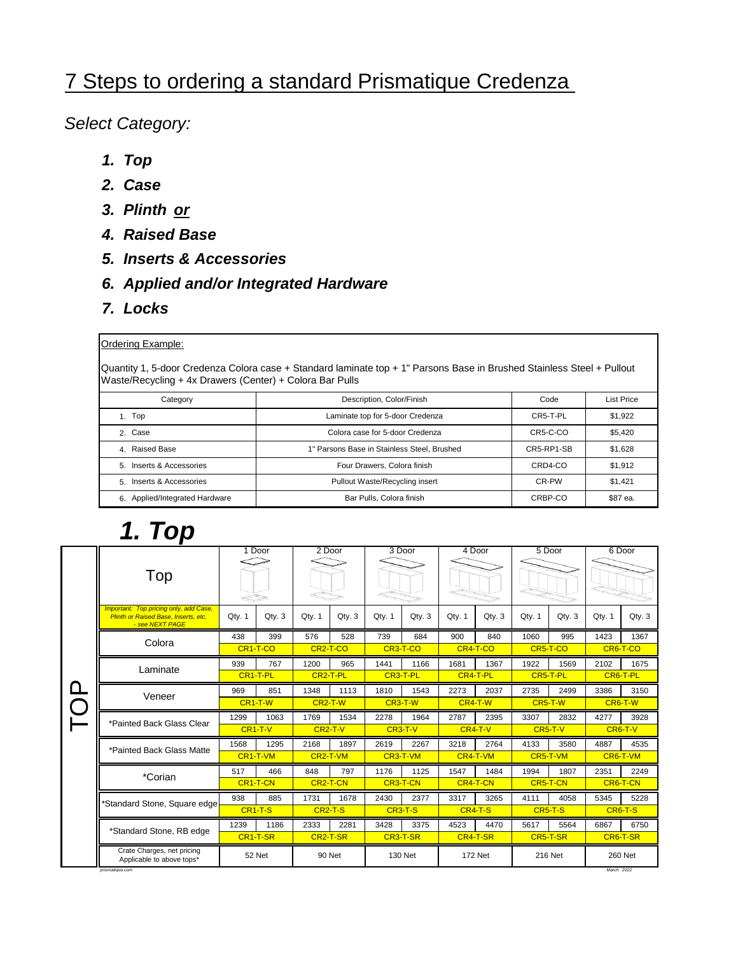#### 7 Steps to ordering a standard Prismatique Credenza

*Select Category:*

- *1. Top*
- *2. Case*
- *3. Plinth or*
- *4. Raised Base*
- *5. Inserts & Accessories*
- *6. Applied and/or Integrated Hardware*
- *7. Locks*

#### Ordering Example:

Quantity 1, 5-door Credenza Colora case + Standard laminate top + 1" Parsons Base in Brushed Stainless Steel + Pullout Waste/Recycling + 4x Drawers (Center) + Colora Bar Pulls

| Category                       | Description, Color/Finish                   |            | List Price |
|--------------------------------|---------------------------------------------|------------|------------|
| Top                            | Laminate top for 5-door Credenza            | CR5-T-PL   | \$1,922    |
| 2. Case                        | Colora case for 5-door Credenza             | CR5-C-CO   | \$5,420    |
| 4 Raised Base                  | 1" Parsons Base in Stainless Steel, Brushed | CR5-RP1-SB | \$1,628    |
| 5 Inserts & Accessories        | Four Drawers, Colora finish                 | CRD4-CO    | \$1,912    |
| 5. Inserts & Accessories       | Pullout Waste/Recycling insert              | CR-PW      | \$1,421    |
| 6. Applied/Integrated Hardware | Bar Pulls, Colora finish                    | CRBP-CO    | \$87 ea.   |
|                                |                                             |            |            |

# *1. Top*

|  |                                                                                                          |                                               | 1 Door                | 2 Door                |           |         | 3 Door                |         | 4 Door         |           | 5 Door   |            | 6 Door    |
|--|----------------------------------------------------------------------------------------------------------|-----------------------------------------------|-----------------------|-----------------------|-----------|---------|-----------------------|---------|----------------|-----------|----------|------------|-----------|
|  | Top                                                                                                      |                                               |                       |                       |           |         |                       |         |                |           |          |            |           |
|  | <b>Important: Top pricing only, add Case,</b><br>Plinth or Raised Base, Inserts, etc.<br>- see NEXT PAGE | Qty. 1                                        | Qty. 3                | Qty. 1                | Qty. 3    | Qty. 1  | Qty. 3                | Qty. 1  | Qty.3          | Qty. 1    | Qty. 3   | Qty. 1     | Qty. 3    |
|  |                                                                                                          | 438                                           | 399                   | 576                   | 528       | 739     | 684                   | 900     | 840            | 1060      | 995      | 1423       | 1367      |
|  | Colora                                                                                                   |                                               | CR <sub>1-T-CO</sub>  | CR <sub>2</sub> -T-CO |           |         | CR <sub>3</sub> -T-CO |         | CR4-T-CO       |           | CR5-T-CO | CR6-T-CO   |           |
|  | Laminate                                                                                                 | 939                                           | 767                   | 1200                  | 965       | 1441    | 1166                  | 1681    | 1367           | 1922      | 1569     | 2102       | 1675      |
|  |                                                                                                          | CR <sub>1-T-PL</sub><br>CR <sub>2</sub> -T-PL |                       |                       | CR3-T-PL  |         | CR4-T-PL              |         | CR5-T-PL       |           | CR6-T-PL |            |           |
|  | Veneer                                                                                                   | 969                                           | 851                   | 1348                  | 1113      | 1810    | 1543                  | 2273    | 2037           | 2735      | 2499     | 3386       | 3150      |
|  |                                                                                                          | CR <sub>1</sub> -T-W                          |                       | $CR2-T-W$             |           | CR3-T-W |                       | CR4-T-W |                | CR5-T-W   |          | CR6-T-W    |           |
|  | *Painted Back Glass Clear                                                                                | 1299                                          | 1063                  | 1769                  | 1534      | 2278    | 1964                  | 2787    | 2395           | 3307      | 2832     | 4277       | 3928      |
|  |                                                                                                          |                                               | $CR1-T-V$             |                       | $CR2-T-V$ |         | $CR3-T-V$             |         | $CR4-T-V$      | $CR5-T-V$ |          |            | $CR6-T-V$ |
|  | *Painted Back Glass Matte                                                                                | 1568                                          | 1295                  | 2168                  | 1897      | 2619    | 2267                  | 3218    | 2764           | 4133      | 3580     | 4887       | 4535      |
|  |                                                                                                          |                                               | CR1-T-VM              | CR2-T-VM              |           |         | CR3-T-VM              |         | CR4-T-VM       |           | CR5-T-VM |            | CR6-T-VM  |
|  | *Corian                                                                                                  | 517                                           | 466                   | 848                   | 797       | 1176    | 1125                  | 1547    | 1484           | 1994      | 1807     | 2351       | 2249      |
|  |                                                                                                          |                                               | CR <sub>1</sub> -T-CN | CR <sub>2</sub> -T-CN |           |         | CR3-T-CN              |         | CR4-T-CN       |           | CR5-T-CN |            | CR6-T-CN  |
|  | *Standard Stone, Square edge                                                                             | 938                                           | 885                   | 1731                  | 1678      | 2430    | 2377                  | 3317    | 3265           | 4111      | 4058     | 5345       | 5228      |
|  |                                                                                                          |                                               | $CR1-T-S$             | CR <sub>2</sub> -T-S  |           |         | CR <sub>3</sub> -T-S  |         | CR4-T-S        | CR5-T-S   |          |            | CR6-T-S   |
|  | *Standard Stone, RB edge                                                                                 | 1239                                          | 1186                  | 2333                  | 2281      | 3428    | 3375                  | 4523    | 4470           | 5617      | 5564     | 6867       | 6750      |
|  |                                                                                                          |                                               | CR <sub>1</sub> -T-SR | CR <sub>2</sub> -T-SR |           |         | CR3-T-SR              |         | CR4-T-SR       | CR5-T-SR  |          |            | CR6-T-SR  |
|  | Crate Charges, net pricing<br>Applicable to above tops*<br>prismatique.com                               |                                               | 52 Net                |                       | 90 Net    |         | 130 Net               |         | <b>172 Net</b> |           | 216 Net  | March 2022 | 260 Net   |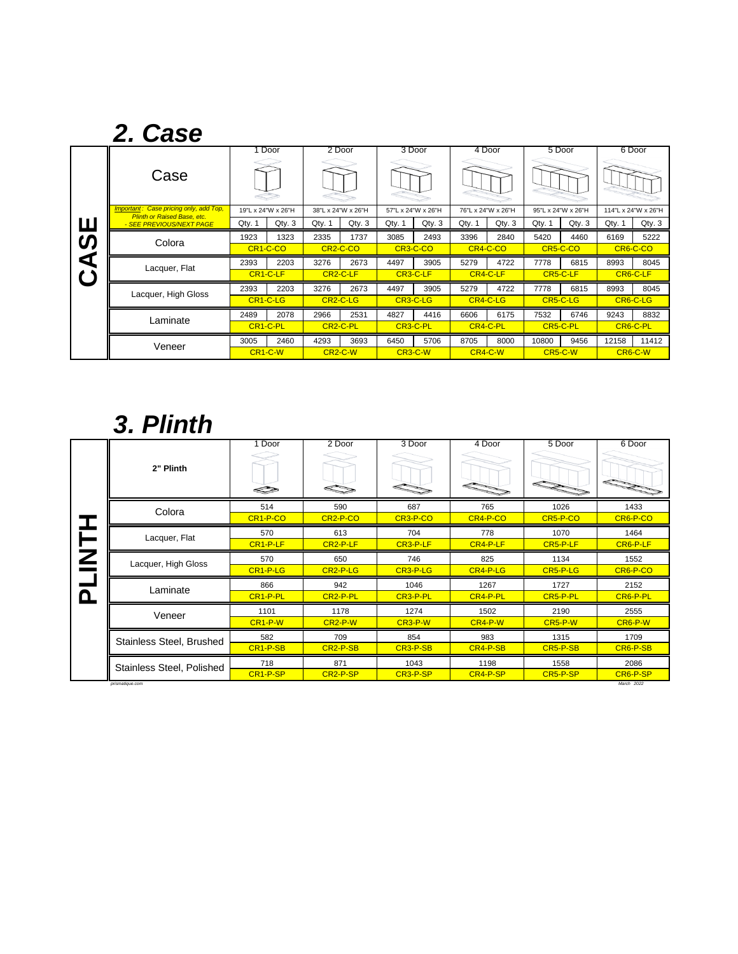|           | 2. Case                                                                      |                       |                       |                       |                       |          |                    |          |                    |          |                    |          |                     |
|-----------|------------------------------------------------------------------------------|-----------------------|-----------------------|-----------------------|-----------------------|----------|--------------------|----------|--------------------|----------|--------------------|----------|---------------------|
|           |                                                                              |                       | 1 Door                |                       | 2 Door                |          | 3 Door             |          | 4 Door             |          | 5 Door             |          | 6 Door              |
|           | Case                                                                         |                       |                       |                       |                       |          |                    |          |                    |          |                    |          |                     |
|           | Important: Case pricing only, add Top,<br><b>Plinth or Raised Base, etc.</b> |                       | 19"L x 24"W x 26"H    |                       | 38"L x 24"W x 26"H    |          | 57"L x 24"W x 26"H |          | 76"L x 24"W x 26"H |          | 95"L x 24"W x 26"H |          | 114"L x 24"W x 26"H |
| Ш         | - SEE PREVIOUS/NEXT PAGE                                                     | Qty. 1                | Qty.3                 | Qty. 1                | Qty. 3                | Qty. 1   | Qty.3              | Qty. 1   | Qty.3              | Qty. 1   | Qty.3              | Qty. 1   | Qty.3               |
| <b>S</b>  | Colora                                                                       | 1923                  | 1323                  | 2335                  | 1737                  | 3085     | 2493               | 3396     | 2840               | 5420     | 4460               | 6169     | 5222                |
|           |                                                                              | CR <sub>1</sub> -C-CO |                       | CR <sub>2</sub> -C-CO |                       | CR3-C-CO |                    | CR4-C-CO |                    | CR5-C-CO |                    | CR6-C-CO |                     |
| ₫         | Lacquer, Flat                                                                | 2393                  | 2203                  | 3276                  | 2673                  | 4497     | 3905               | 5279     | 4722               | 7778     | 6815               | 8993     | 8045                |
| $\bullet$ |                                                                              |                       | CR <sub>1</sub> -C-LF |                       | CR <sub>2</sub> -C-LF |          | CR3-C-LF           |          | CR4-C-LF           |          | CR5-C-LF           |          | CR6-C-LF            |
|           | Lacquer, High Gloss                                                          | 2393                  | 2203                  | 3276                  | 2673                  | 4497     | 3905               | 5279     | 4722               | 7778     | 6815               | 8993     | 8045                |
|           |                                                                              |                       | CR <sub>1</sub> -C-LG | CR <sub>2</sub> -C-LG |                       | CR3-C-LG |                    | CR4-C-LG |                    | CR5-C-LG |                    | CR6-C-LG |                     |
|           | Laminate                                                                     | 2489                  | 2078                  | 2966                  | 2531                  | 4827     | 4416               | 6606     | 6175               | 7532     | 6746               | 9243     | 8832                |
|           |                                                                              |                       | CR <sub>1</sub> -C-PL | CR <sub>2</sub> -C-PL |                       |          | CR3-C-PL           |          | CR4-C-PL           |          | CR5-C-PL           |          | CR6-C-PL            |
|           | Veneer                                                                       | 3005                  | 2460                  | 4293                  | 3693                  | 6450     | 5706               | 8705     | 8000               | 10800    | 9456               | 12158    | 11412               |
|           |                                                                              |                       | CR <sub>1</sub> -C-W  | CR <sub>2</sub> -C-W  |                       |          | CR3-C-W            | CR4-C-W  |                    |          | CR5-C-W            |          | CR6-C-W             |

# *3. Plinth*

|                     | Door                                                                                                                      | 2 Door                | 3 Door   | 4 Door   | 5 Door   | 6 Door                 |
|---------------------|---------------------------------------------------------------------------------------------------------------------------|-----------------------|----------|----------|----------|------------------------|
| 2" Plinth           |                                                                                                                           |                       |          |          |          | <b>ZARA</b>            |
|                     | 514                                                                                                                       | 590                   | 687      | 765      | 1026     | 1433                   |
|                     | CR <sub>1-P-CO</sub>                                                                                                      | CR <sub>2-P-CO</sub>  | CR3-P-CO | CR4-P-CO | CR5-P-CO | CR6-P-CO               |
|                     | 570                                                                                                                       | 613                   | 704      | 778      | 1070     | 1464                   |
|                     | CR <sub>1-P-LF</sub>                                                                                                      | CR <sub>2</sub> -P-LF | CR3-P-LF | CR4-P-LF | CR5-P-LF | CR6-P-LF               |
| Lacquer, High Gloss | 570                                                                                                                       | 650                   | 746      | 825      | 1134     | 1552                   |
|                     | CR1-P-LG                                                                                                                  | CR <sub>2</sub> -P-LG | CR3-P-LG | CR4-P-LG | CR5-P-LG | CR6-P-CO               |
|                     | 866                                                                                                                       | 942                   | 1046     | 1267     | 1727     | 2152                   |
|                     | CR <sub>1-P-PL</sub>                                                                                                      | CR <sub>2</sub> -P-PL | CR3-P-PL | CR4-P-PL | CR5-P-PL | CR6-P-PL               |
|                     | 1101                                                                                                                      | 1178                  | 1274     | 1502     | 2190     | 2555                   |
|                     | CR <sub>1-P-W</sub>                                                                                                       | CR <sub>2</sub> -P-W  | CR3-P-W  | CR4-P-W  | CR5-P-W  | CR6-P-W                |
|                     | 582                                                                                                                       | 709                   | 854      | 983      | 1315     | 1709                   |
|                     | CR1-P-SB                                                                                                                  | CR <sub>2-P-SB</sub>  | CR3-P-SB | CR4-P-SB | CR5-P-SB | CR6-P-SB               |
|                     | 718                                                                                                                       | 871                   | 1043     | 1198     | 1558     | 2086                   |
|                     | CR1-P-SP                                                                                                                  | CR <sub>2</sub> -P-SP | CR3-P-SP | CR4-P-SP | CR5-P-SP | CR6-P-SP<br>March 2022 |
|                     | Colora<br>Lacquer, Flat<br>Laminate<br>Veneer<br>Stainless Steel, Brushed<br>Stainless Steel, Polished<br>prismatique.com |                       |          |          |          |                        |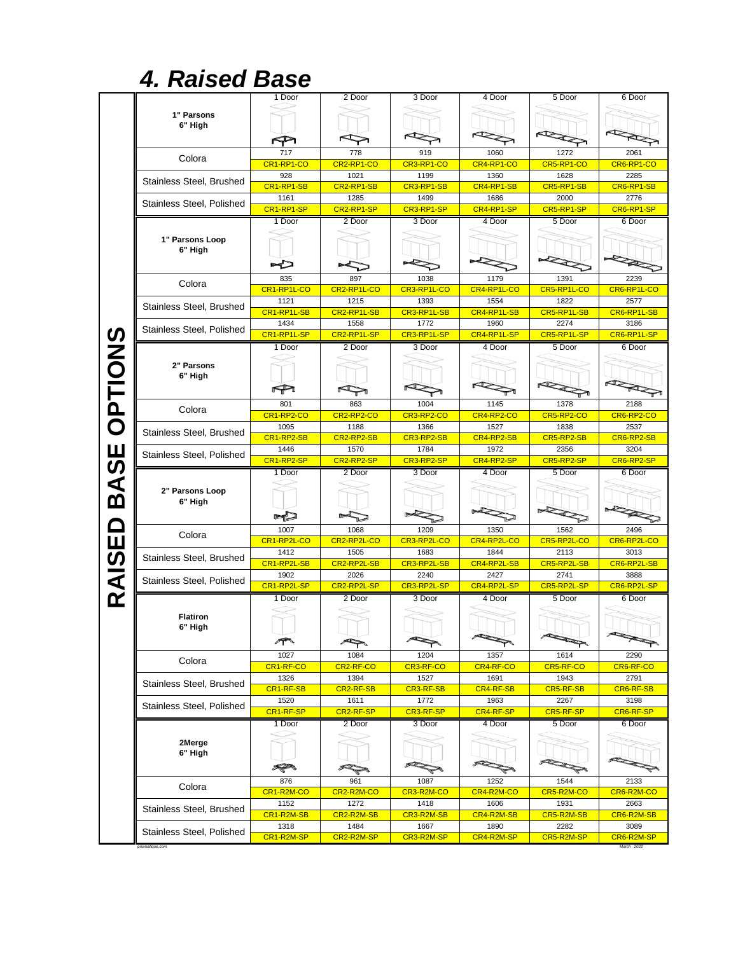## *4. Raised Base*

|                |                                              | 1 Door             | 2 Door             | 3 Door             | 4 Door             | 5 Door             | 6 Door                   |
|----------------|----------------------------------------------|--------------------|--------------------|--------------------|--------------------|--------------------|--------------------------|
|                |                                              |                    |                    |                    |                    |                    |                          |
|                | 1" Parsons                                   |                    |                    |                    |                    |                    |                          |
|                | 6" Hiah                                      |                    |                    |                    |                    |                    |                          |
|                |                                              |                    |                    |                    |                    |                    |                          |
|                | Colora                                       | 717                | 778                | 919                | 1060               | 1272               | 2061                     |
|                |                                              | CR1-RP1-CO         | CR2-RP1-CO         | CR3-RP1-CO         | CR4-RP1-CO         | CR5-RP1-CO         | CR6-RP1-CO               |
|                | Stainless Steel, Brushed                     | 928                | 1021               | 1199               | 1360               | 1628               | 2285                     |
|                |                                              | CR1-RP1-SB         | CR2-RP1-SB         | CR3-RP1-SB         | CR4-RP1-SB         | CR5-RP1-SB         | CR6-RP1-SB               |
|                | Stainless Steel, Polished                    | 1161               | 1285               | 1499               | 1686               | 2000               | 2776                     |
|                |                                              | CR1-RP1-SP         | CR2-RP1-SP         | CR3-RP1-SP         | CR4-RP1-SP         | CR5-RP1-SP         | CR6-RP1-SP               |
|                |                                              | 1 Door             | 2 Door             | 3 Door             | 4 Door             | 5 Door             | 6 Door                   |
|                | 1" Parsons Loop                              |                    |                    |                    |                    |                    |                          |
|                | 6" High                                      |                    |                    |                    |                    |                    |                          |
|                |                                              |                    |                    |                    |                    |                    |                          |
|                |                                              | 835                | 897                | 1038               | 1179               | 1391               | 2239                     |
|                | Colora                                       | CR1-RP1L-CO        | CR2-RP1L-CO        | CR3-RP1L-CO        | CR4-RP1L-CO        | CR5-RP1L-CO        | CR6-RP1L-CO              |
|                |                                              | 1121               | 1215               | 1393               | 1554               | 1822               | 2577                     |
|                | Stainless Steel, Brushed                     | CR1-RP1L-SB        | CR2-RP1L-SB        | CR3-RP1L-SB        | CR4-RP1L-SB        | CR5-RP1L-SB        | CR6-RP1L-SB              |
|                |                                              | 1434               | 1558               | 1772               | 1960               | 2274               | 3186                     |
|                | Stainless Steel, Polished                    | CR1-RP1L-SP        | CR2-RP1L-SP        | CR3-RP1L-SP        | CR4-RP1L-SP        | CR5-RP1L-SP        | CR6-RP1L-SP              |
| <b>OPTIONS</b> |                                              | 1 Door             | 2 Door             | 3 Door             | 4 Door             | 5 Door             | 6 Door                   |
|                |                                              |                    |                    |                    |                    |                    |                          |
|                | 2" Parsons                                   |                    |                    |                    |                    |                    |                          |
|                | 6" High                                      |                    |                    |                    |                    |                    |                          |
|                |                                              | P                  |                    |                    |                    |                    |                          |
|                | Colora                                       | 801                | 863                | 1004               | 1145               | 1378               | 2188                     |
|                |                                              | CR1-RP2-CO         | CR2-RP2-CO         | CR3-RP2-CO         | CR4-RP2-CO         | CR5-RP2-CO         | CR6-RP2-CO               |
|                | Stainless Steel, Brushed                     | 1095               | 1188               | 1366               | 1527               | 1838               | 2537                     |
|                |                                              | CR1-RP2-SB         | CR2-RP2-SB         | CR3-RP2-SB         | CR4-RP2-SB         | CR5-RP2-SB         | CR6-RP2-SB               |
|                | Stainless Steel, Polished                    | 1446<br>CR1-RP2-SP | 1570<br>CR2-RP2-SP | 1784<br>CR3-RP2-SP | 1972<br>CR4-RP2-SP | 2356<br>CR5-RP2-SP | 3204<br>CR6-RP2-SP       |
| BASE           |                                              | 1 Door             | 2 Door             | 3 Door             | 4 Door             | 5 Door             | 6 Door                   |
|                |                                              |                    |                    |                    |                    |                    |                          |
|                | 2" Parsons Loop                              |                    |                    |                    |                    |                    |                          |
|                | 6" High                                      |                    |                    |                    |                    |                    |                          |
|                |                                              | PL                 |                    |                    |                    |                    |                          |
|                |                                              |                    |                    |                    |                    |                    |                          |
|                |                                              | 1007               | 1068               | 1209               | 1350               | 1562               | 2496                     |
|                | Colora                                       | CR1-RP2L-CO        | CR2-RP2L-CO        | CR3-RP2L-CO        | CR4-RP2L-CO        | CR5-RP2L-CO        | CR6-RP2L-CO              |
|                |                                              | 1412               | 1505               | 1683               | 1844               | 2113               | 3013                     |
|                | Stainless Steel, Brushed                     | CR1-RP2L-SB        | CR2-RP2L-SB        | CR3-RP2L-SB        | CR4-RP2L-SB        | CR5-RP2L-SB        | CR6-RP2L-SB              |
|                |                                              | 1902               | 2026               | 2240               | 2427               | 2741               | 3888                     |
|                | Stainless Steel, Polished                    | CR1-RP2L-SP        | CR2-RP2L-SP        | CR3-RP2L-SP        | CR4-RP2L-SP        | CR5-RP2L-SP        | CR6-RP2L-SP              |
| RAISED         |                                              | 1 Door             | 2 Door             | 3 Door             | 4 Door             | 5 Door             | 6 Door                   |
|                | <b>Flatiron</b>                              |                    |                    |                    |                    |                    |                          |
|                | 6" High                                      |                    |                    |                    |                    |                    |                          |
|                |                                              | ∕Г                 |                    |                    |                    |                    |                          |
|                |                                              |                    |                    |                    |                    |                    |                          |
|                | Colora                                       | 1027<br>CR1-RF-CO  | 1084<br>CR2-RF-CO  | 1204               | 1357<br>CR4-RF-CO  | 1614<br>CR5-RF-CO  | 2290<br>CR6-RF-CO        |
|                |                                              | 1326               | 1394               | CR3-RF-CO<br>1527  | 1691               | 1943               | 2791                     |
|                | Stainless Steel, Brushed                     | CR1-RF-SB          | CR2-RF-SB          | CR3-RF-SB          | CR4-RF-SB          | CR5-RF-SB          | CR6-RF-SB                |
|                |                                              | 1520               | 1611               | 1772               | 1963               | 2267               | 3198                     |
|                | Stainless Steel, Polished                    | CR1-RF-SP          | CR2-RF-SP          | CR3-RF-SP          | CR4-RF-SP          | CR5-RF-SP          | CR6-RF-SP                |
|                |                                              | 1 Door             | 2 Door             | 3 Door             | 4 Door             | 5 Door             | 6 Door                   |
|                |                                              |                    |                    |                    |                    |                    |                          |
|                | 2Merge<br>6" High                            |                    |                    |                    |                    |                    |                          |
|                |                                              |                    |                    |                    |                    |                    |                          |
|                |                                              |                    |                    |                    |                    |                    |                          |
|                | Colora                                       | 876                | 961                | 1087               | 1252               | 1544               | 2133                     |
|                |                                              | CR1-R2M-CO<br>1152 | CR2-R2M-CO<br>1272 | CR3-R2M-CO<br>1418 | CR4-R2M-CO<br>1606 | CR5-R2M-CO<br>1931 | CR6-R2M-CO<br>2663       |
|                | Stainless Steel, Brushed                     | CR1-R2M-SB         | CR2-R2M-SB         | CR3-R2M-SB         | CR4-R2M-SB         | CR5-R2M-SB         | CR6-R2M-SB               |
|                |                                              | 1318               | 1484               | 1667               | 1890               | 2282               | 3089                     |
|                | Stainless Steel, Polished<br>orismatique.com | CR1-R2M-SP         | CR2-R2M-SP         | CR3-R2M-SP         | CR4-R2M-SP         | CR5-R2M-SP         | CR6-R2M-SP<br>March 2022 |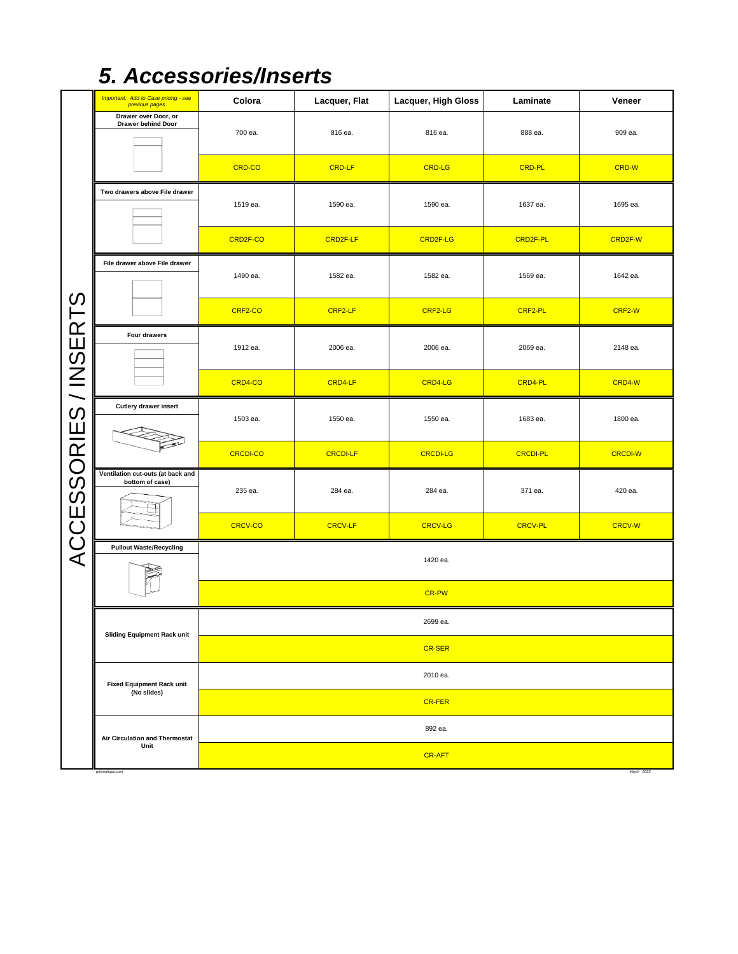## *5. Accessories/Inserts*

|                       | Important: Add to Case pricing - see<br>previous pages | Colora          | Lacquer, Flat   | Lacquer, High Gloss | Laminate        | Veneer         |  |  |  |
|-----------------------|--------------------------------------------------------|-----------------|-----------------|---------------------|-----------------|----------------|--|--|--|
|                       | Drawer over Door, or<br>Drawer behind Door             | 700 ea.         | 816 ea.         | 816 ea.             | 888 ea.         | 909 ea.        |  |  |  |
|                       |                                                        | CRD-CO          | <b>CRD-LF</b>   | <b>CRD-LG</b>       | <b>CRD-PL</b>   | <b>CRD-W</b>   |  |  |  |
|                       | Two drawers above File drawer                          | 1519 ea.        | 1590 ea.        | 1590 ea.            | 1637 ea.        | 1695 ea.       |  |  |  |
|                       |                                                        | CRD2F-CO        | CRD2F-LF        | CRD2F-LG            | CRD2F-PL        | CRD2F-W        |  |  |  |
|                       | File drawer above File drawer                          | 1490 ea.        | 1582 ea.        | 1582 ea.            | 1569 ea.        | 1642 ea.       |  |  |  |
|                       |                                                        | CRF2-CO         | CRF2-LF         | CRF2-LG             | CRF2-PL         | CRF2-W         |  |  |  |
|                       | Four drawers                                           | 1912 ea.        | 2006 ea.        | 2006 ea.            | 2069 ea.        | 2148 ea.       |  |  |  |
|                       |                                                        | CRD4-CO         | CRD4-LF         | CRD4-LG             | CRD4-PL         | CRD4-W         |  |  |  |
|                       | Cutlery drawer insert                                  | 1503 ea.        | 1550 ea.        | 1550 ea.            | 1683 ea.        | 1800 ea.       |  |  |  |
|                       |                                                        | <b>CRCDI-CO</b> | <b>CRCDI-LF</b> | <b>CRCDI-LG</b>     | <b>CRCDI-PL</b> | <b>CRCDI-W</b> |  |  |  |
| ACCESSORIES / INSERTS | Ventilation cut-outs (at back and<br>bottom of case)   | 235 ea.         | 284 ea.         | 284 ea.             | 371 ea.         | 420 ea.        |  |  |  |
|                       |                                                        | <b>CRCV-CO</b>  | <b>CRCV-LF</b>  | <b>CRCV-LG</b>      | <b>CRCV-PL</b>  | <b>CRCV-W</b>  |  |  |  |
|                       | <b>Pullout Waste/Recycling</b>                         |                 |                 | 1420 ea.            |                 |                |  |  |  |
|                       |                                                        |                 |                 | CR-PW               |                 |                |  |  |  |
|                       | <b>Sliding Equipment Rack unit</b>                     | 2699 ea.        |                 |                     |                 |                |  |  |  |
|                       |                                                        |                 |                 | <b>CR-SER</b>       |                 |                |  |  |  |
|                       | <b>Fixed Equipment Rack unit</b><br>(No slides)        |                 |                 | 2010 ea.            |                 |                |  |  |  |
|                       |                                                        |                 |                 | <b>CR-FER</b>       |                 |                |  |  |  |
|                       | <b>Air Circulation and Thermostat</b><br>Unit          |                 |                 | 892 ea.             |                 |                |  |  |  |
|                       | prismatique.com                                        |                 |                 | <b>CR-AFT</b>       |                 | March 2022     |  |  |  |